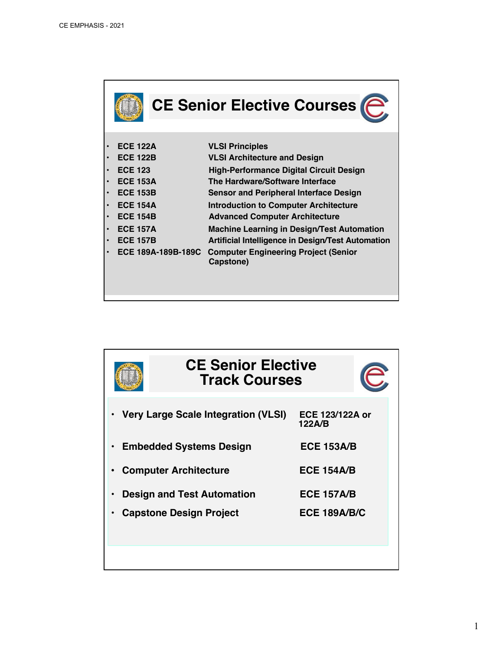| <b>CE Senior Elective Courses</b>                                        |                                                                                                                                                                                                |
|--------------------------------------------------------------------------|------------------------------------------------------------------------------------------------------------------------------------------------------------------------------------------------|
| <b>ECE 122A</b><br><b>ECE 122B</b><br><b>ECE 123</b>                     | <b>VLSI Principles</b><br><b>VLSI Architecture and Design</b><br><b>High-Performance Digital Circuit Design</b><br>The Hardware/Software Interface                                             |
| <b>ECE 153A</b><br><b>ECE 153B</b><br><b>ECE 154A</b><br><b>ECE 154B</b> | <b>Sensor and Peripheral Interface Design</b><br><b>Introduction to Computer Architecture</b>                                                                                                  |
| <b>ECE 157A</b><br><b>ECE 157B</b><br>ECE 189A-189B-189C                 | <b>Advanced Computer Architecture</b><br><b>Machine Learning in Design/Test Automation</b><br>Artificial Intelligence in Design/Test Automation<br><b>Computer Engineering Project (Senior</b> |
|                                                                          | Capstone)                                                                                                                                                                                      |

| <b>CE Senior Elective</b><br><b>Track Courses</b> |                                  |
|---------------------------------------------------|----------------------------------|
| Very Large Scale Integration (VLSI)               | <b>ECE 123/122A or</b><br>122A/B |
| <b>Embedded Systems Design</b>                    | <b>ECE 153A/B</b>                |
| <b>Computer Architecture</b>                      | <b>ECE 154A/B</b>                |
| <b>Design and Test Automation</b>                 | <b>ECE 157A/B</b>                |
| <b>Capstone Design Project</b>                    | <b>ECE 189A/B/C</b>              |
|                                                   |                                  |
|                                                   |                                  |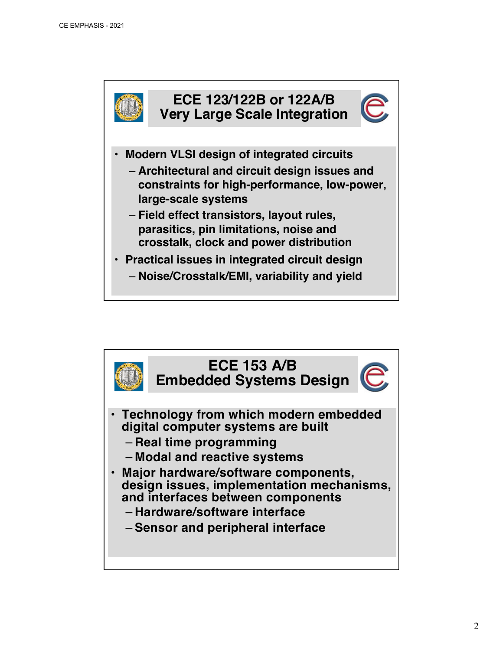

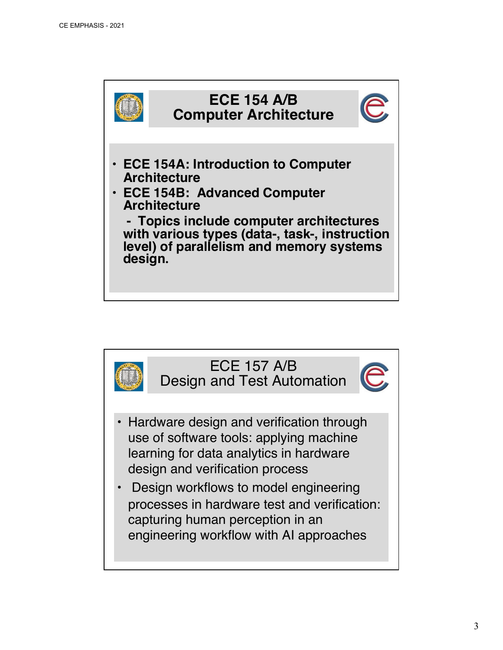